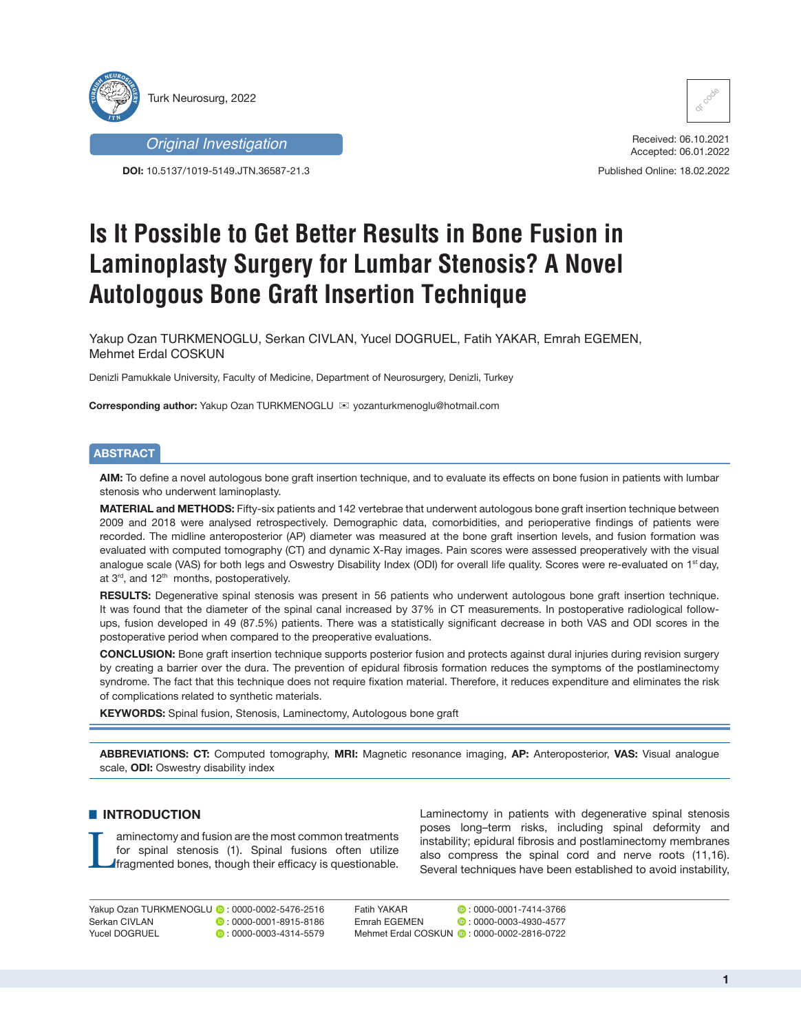



**DOI:** 10.5137/1019-5149.JTN.36587-21.3



Received: 06.10.2021 Accepted: 06.01.2022

Published Online: 18.02.2022

# **Is It Possible to Get Better Results in Bone Fusion in Laminoplasty Surgery for Lumbar Stenosis? A Novel Autologous Bone Graft Insertion Technique**

Yakup Ozan TURKMENOGLU, Serkan CIVLAN, Yucel DOGRUEL, Fatih YAKAR, Emrah EGEMEN, Mehmet Erdal COSKUN

Denizli Pamukkale University, Faculty of Medicine, Department of Neurosurgery, Denizli, Turkey

**Corresponding author:** Yakup Ozan TURKMENOGLU  $\boxtimes$  yozanturkmenoglu@hotmail.com

# **ABSTRACT**

**AIM:** To define a novel autologous bone graft insertion technique, and to evaluate its effects on bone fusion in patients with lumbar stenosis who underwent laminoplasty.

**MATERIAL and METHODS:** Fifty-six patients and 142 vertebrae that underwent autologous bone graft insertion technique between 2009 and 2018 were analysed retrospectively. Demographic data, comorbidities, and perioperative findings of patients were recorded. The midline anteroposterior (AP) diameter was measured at the bone graft insertion levels, and fusion formation was evaluated with computed tomography (CT) and dynamic X-Ray images. Pain scores were assessed preoperatively with the visual analogue scale (VAS) for both legs and Oswestry Disability Index (ODI) for overall life quality. Scores were re-evaluated on 1<sup>st</sup> day, at 3<sup>rd</sup>, and 12<sup>th</sup> months, postoperatively.

**RESULTS:** Degenerative spinal stenosis was present in 56 patients who underwent autologous bone graft insertion technique. It was found that the diameter of the spinal canal increased by 37% in CT measurements. In postoperative radiological followups, fusion developed in 49 (87.5%) patients. There was a statistically significant decrease in both VAS and ODI scores in the postoperative period when compared to the preoperative evaluations.

**CONCLUSION:** Bone graft insertion technique supports posterior fusion and protects against dural injuries during revision surgery by creating a barrier over the dura. The prevention of epidural fibrosis formation reduces the symptoms of the postlaminectomy syndrome. The fact that this technique does not require fixation material. Therefore, it reduces expenditure and eliminates the risk of complications related to synthetic materials.

**KEYWORDS:** Spinal fusion, Stenosis, Laminectomy, Autologous bone graft

**ABBREVIATIONS: CT:** Computed tomography, **MRI:** Magnetic resonance imaging, **AP:** Anteroposterior, **VAS:** Visual analogue scale, **ODI:** Oswestry disability index

# $\blacksquare$  **INTRODUCTION**

Improvements for spinal stenosis (1). Spinal fusions often utilize fragmented bones, though their efficacy is questionable. for spinal stenosis (1). Spinal fusions often utilize

Laminectomy in patients with degenerative spinal stenosis poses long–term risks, including spinal deformity and instability; epidural fibrosis and postlaminectomy membranes also compress the spinal cord and nerve roots (11,16). Several techniques have been established to avoid instability,

| Yakup Ozan TURKMENOGLU ( : 0000-0002-5476-2516 |                                 | Fatih YAKAR  | $\bullet$ : 0000-0001-7414-3766             |
|------------------------------------------------|---------------------------------|--------------|---------------------------------------------|
| Serkan CIVLAN                                  | $\bullet$ : 0000-0001-8915-8186 | Emrah EGEMEN | $\bullet$ : 0000-0003-4930-4577             |
| Yucel DOGRUEL                                  | $\bullet$ : 0000-0003-4314-5579 |              | Mehmet Erdal COSKUN (D: 0000-0002-2816-0722 |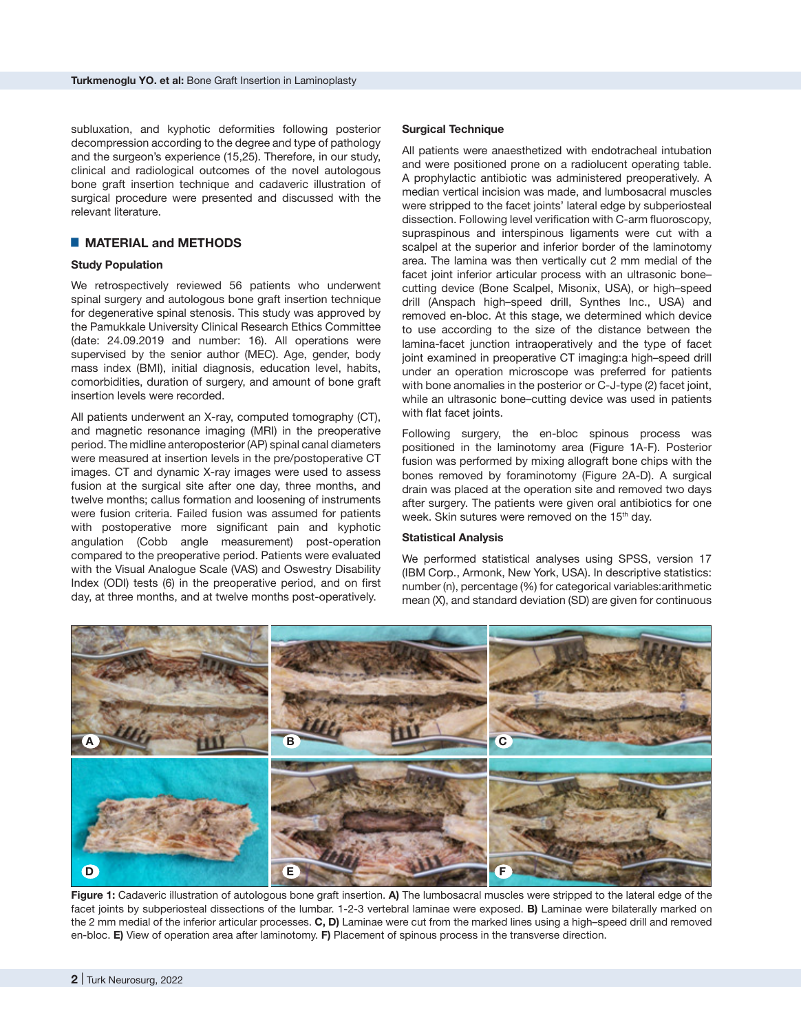subluxation, and kyphotic deformities following posterior decompression according to the degree and type of pathology and the surgeon's experience (15,25). Therefore, in our study, clinical and radiological outcomes of the novel autologous bone graft insertion technique and cadaveric illustration of surgical procedure were presented and discussed with the relevant literature.

# █ **MATERIAL and METHODS**

## **Study Population**

We retrospectively reviewed 56 patients who underwent spinal surgery and autologous bone graft insertion technique for degenerative spinal stenosis. This study was approved by the Pamukkale University Clinical Research Ethics Committee (date: 24.09.2019 and number: 16). All operations were supervised by the senior author (MEC). Age, gender, body mass index (BMI), initial diagnosis, education level, habits, comorbidities, duration of surgery, and amount of bone graft insertion levels were recorded.

All patients underwent an X-ray, computed tomography (CT), and magnetic resonance imaging (MRI) in the preoperative period. The midline anteroposterior (AP) spinal canal diameters were measured at insertion levels in the pre/postoperative CT images. CT and dynamic X-ray images were used to assess fusion at the surgical site after one day, three months, and twelve months; callus formation and loosening of instruments were fusion criteria. Failed fusion was assumed for patients with postoperative more significant pain and kyphotic angulation (Cobb angle measurement) post-operation compared to the preoperative period. Patients were evaluated with the Visual Analogue Scale (VAS) and Oswestry Disability Index (ODI) tests (6) in the preoperative period, and on first day, at three months, and at twelve months post-operatively.

## **Surgical Technique**

All patients were anaesthetized with endotracheal intubation and were positioned prone on a radiolucent operating table. A prophylactic antibiotic was administered preoperatively. A median vertical incision was made, and lumbosacral muscles were stripped to the facet joints' lateral edge by subperiosteal dissection. Following level verification with C-arm fluoroscopy, supraspinous and interspinous ligaments were cut with a scalpel at the superior and inferior border of the laminotomy area. The lamina was then vertically cut 2 mm medial of the facet joint inferior articular process with an ultrasonic bone– cutting device (Bone Scalpel, Misonix, USA), or high–speed drill (Anspach high–speed drill, Synthes Inc., USA) and removed en-bloc. At this stage, we determined which device to use according to the size of the distance between the lamina-facet junction intraoperatively and the type of facet joint examined in preoperative CT imaging:a high–speed drill under an operation microscope was preferred for patients with bone anomalies in the posterior or C-J-type (2) facet joint, while an ultrasonic bone–cutting device was used in patients with flat facet joints.

Following surgery, the en-bloc spinous process was positioned in the laminotomy area (Figure 1A-F). Posterior fusion was performed by mixing allograft bone chips with the bones removed by foraminotomy (Figure 2A-D). A surgical drain was placed at the operation site and removed two days after surgery. The patients were given oral antibiotics for one week. Skin sutures were removed on the 15<sup>th</sup> day.

## **Statistical Analysis**

We performed statistical analyses using SPSS, version 17 (IBM Corp., Armonk, New York, USA). In descriptive statistics: number (n), percentage (%) for categorical variables:arithmetic mean (X̄), and standard deviation (SD) are given for continuous



**Figure 1:** Cadaveric illustration of autologous bone graft insertion. **A)** The lumbosacral muscles were stripped to the lateral edge of the facet joints by subperiosteal dissections of the lumbar. 1-2-3 vertebral laminae were exposed. **B)** Laminae were bilaterally marked on the 2 mm medial of the inferior articular processes. **C, D)** Laminae were cut from the marked lines using a high–speed drill and removed en-bloc. **E)** View of operation area after laminotomy. **F)** Placement of spinous process in the transverse direction.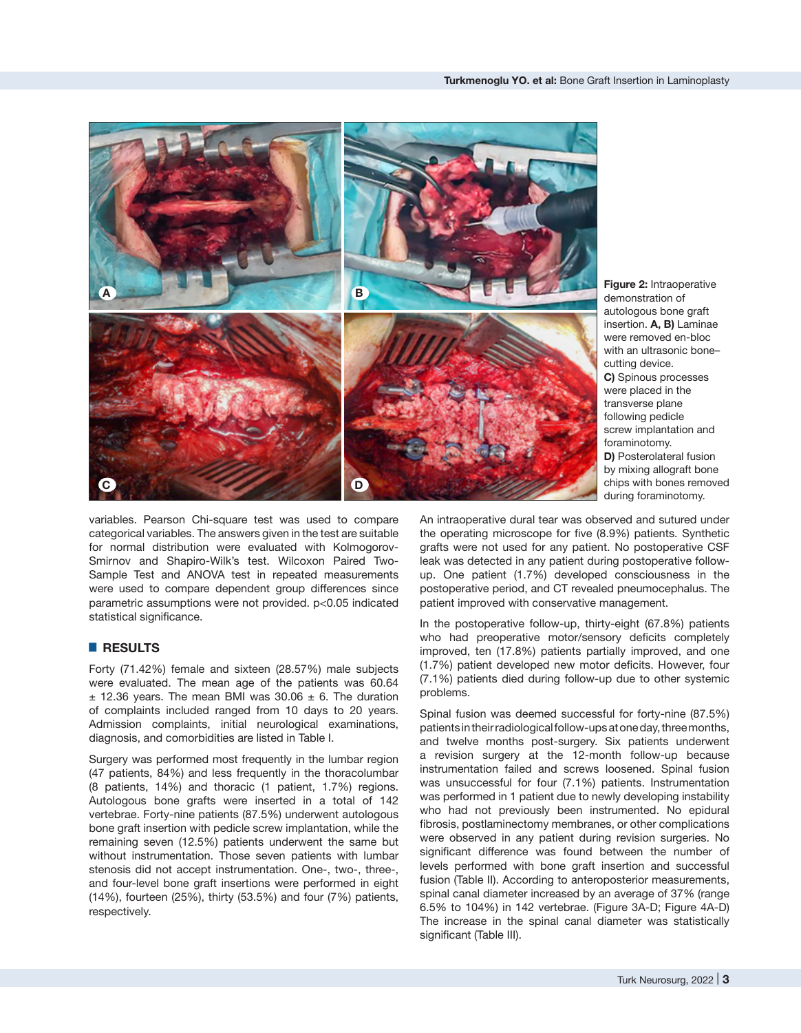

**Figure 2:** Intraoperative demonstration of autologous bone graft insertion. **A, B)** Laminae were removed en-bloc with an ultrasonic bonecutting device. **C)** Spinous processes were placed in the transverse plane following pedicle screw implantation and foraminotomy. **D)** Posterolateral fusion by mixing allograft bone chips with bones removed during foraminotomy.

variables. Pearson Chi-square test was used to compare categorical variables. The answers given in the test are suitable for normal distribution were evaluated with Kolmogorov-Smirnov and Shapiro-Wilk's test. Wilcoxon Paired Two-Sample Test and ANOVA test in repeated measurements were used to compare dependent group differences since parametric assumptions were not provided. p<0.05 indicated statistical significance.

# █ **RESULTS**

Forty (71.42%) female and sixteen (28.57%) male subjects were evaluated. The mean age of the patients was 60.64  $\pm$  12.36 years. The mean BMI was 30.06  $\pm$  6. The duration of complaints included ranged from 10 days to 20 years. Admission complaints, initial neurological examinations, diagnosis, and comorbidities are listed in Table I.

Surgery was performed most frequently in the lumbar region (47 patients, 84%) and less frequently in the thoracolumbar (8 patients, 14%) and thoracic (1 patient, 1.7%) regions. Autologous bone grafts were inserted in a total of 142 vertebrae. Forty-nine patients (87.5%) underwent autologous bone graft insertion with pedicle screw implantation, while the remaining seven (12.5%) patients underwent the same but without instrumentation. Those seven patients with lumbar stenosis did not accept instrumentation. One-, two-, three-, and four-level bone graft insertions were performed in eight (14%), fourteen (25%), thirty (53.5%) and four (7%) patients, respectively.

An intraoperative dural tear was observed and sutured under the operating microscope for five (8.9%) patients. Synthetic grafts were not used for any patient. No postoperative CSF leak was detected in any patient during postoperative followup. One patient (1.7%) developed consciousness in the postoperative period, and CT revealed pneumocephalus. The patient improved with conservative management.

In the postoperative follow-up, thirty-eight (67.8%) patients who had preoperative motor/sensory deficits completely improved, ten (17.8%) patients partially improved, and one (1.7%) patient developed new motor deficits. However, four (7.1%) patients died during follow-up due to other systemic problems.

Spinal fusion was deemed successful for forty-nine (87.5%) patients in their radiological follow-ups at one day, three months, and twelve months post-surgery. Six patients underwent a revision surgery at the 12-month follow-up because instrumentation failed and screws loosened. Spinal fusion was unsuccessful for four (7.1%) patients. Instrumentation was performed in 1 patient due to newly developing instability who had not previously been instrumented. No epidural fibrosis, postlaminectomy membranes, or other complications were observed in any patient during revision surgeries. No significant difference was found between the number of levels performed with bone graft insertion and successful fusion (Table II). According to anteroposterior measurements, spinal canal diameter increased by an average of 37% (range 6.5% to 104%) in 142 vertebrae. (Figure 3A-D; Figure 4A-D) The increase in the spinal canal diameter was statistically significant (Table III).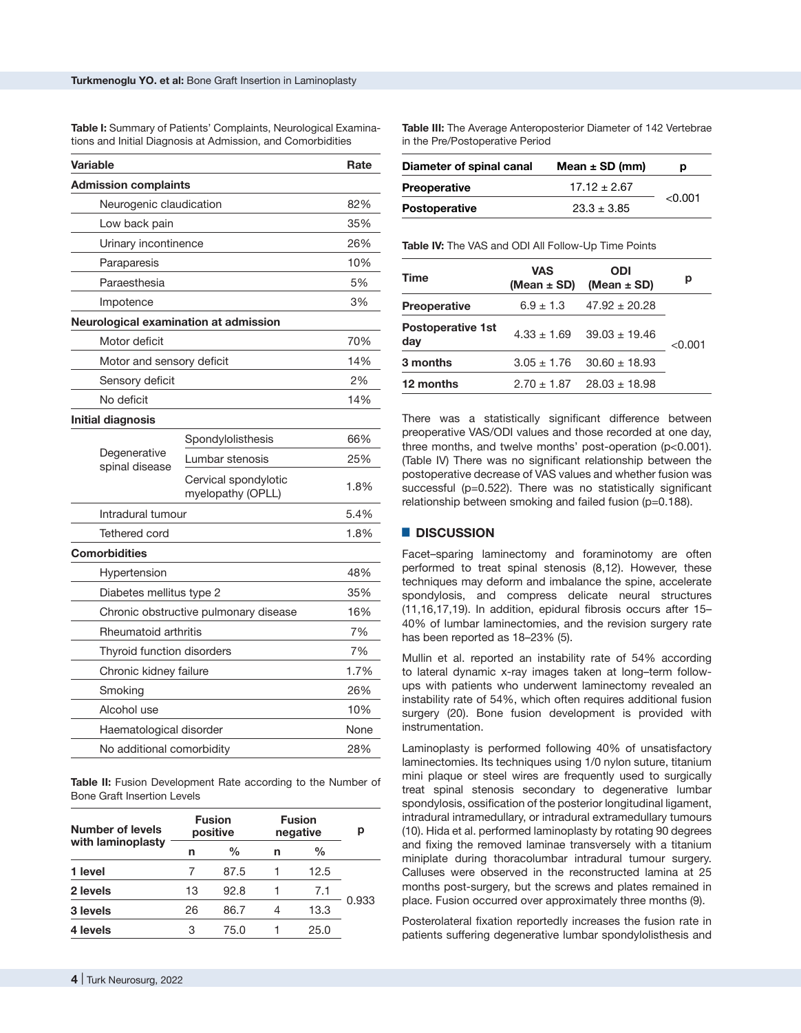**Table I:** Summary of Patients' Complaints, Neurological Examinations and Initial Diagnosis at Admission, and Comorbidities

| Variable                              |                                           | Rate |
|---------------------------------------|-------------------------------------------|------|
| <b>Admission complaints</b>           |                                           |      |
| Neurogenic claudication               |                                           | 82%  |
| Low back pain                         |                                           |      |
| Urinary incontinence                  |                                           | 26%  |
| Paraparesis                           |                                           | 10%  |
| Paraesthesia                          |                                           | 5%   |
| Impotence                             |                                           | 3%   |
| Neurological examination at admission |                                           |      |
| Motor deficit                         |                                           | 70%  |
| Motor and sensory deficit             |                                           | 14%  |
| Sensory deficit                       |                                           | 2%   |
| No deficit                            |                                           |      |
| <b>Initial diagnosis</b>              |                                           |      |
|                                       | Spondylolisthesis                         | 66%  |
| Degenerative<br>spinal disease        | Lumbar stenosis                           | 25%  |
|                                       | Cervical spondylotic<br>myelopathy (OPLL) | 1.8% |
| Intradural tumour                     |                                           | 5.4% |
| <b>Tethered cord</b>                  |                                           | 1.8% |
| <b>Comorbidities</b>                  |                                           |      |
| Hypertension                          |                                           | 48%  |
| Diabetes mellitus type 2              |                                           | 35%  |
| Chronic obstructive pulmonary disease |                                           | 16%  |
| Rheumatoid arthritis                  |                                           | 7%   |
| Thyroid function disorders            |                                           | 7%   |
| Chronic kidney failure                |                                           | 1.7% |
| Smoking                               |                                           | 26%  |
| Alcohol use                           |                                           | 10%  |
| Haematological disorder               |                                           | None |
| No additional comorbidity             |                                           | 28%  |

Table II: Fusion Development Rate according to the Number of Bone Graft Insertion Levels

| <b>Number of levels</b> | <b>Fusion</b><br>positive |               | <b>Fusion</b><br>negative |               | р     |
|-------------------------|---------------------------|---------------|---------------------------|---------------|-------|
| with laminoplasty       | n                         | $\frac{0}{0}$ | n                         | $\frac{0}{0}$ |       |
| 1 level                 |                           | 87.5          |                           | 12.5          |       |
| 2 levels                | 13                        | 92.8          |                           | 7.1           |       |
| 3 levels                | 26                        | 86.7          | 4                         | 13.3          | 0.933 |
| 4 levels                | 3                         | 75.0          |                           | 25.0          |       |

**Table III:** The Average Anteroposterior Diameter of 142 Vertebrae in the Pre/Postoperative Period

| Diameter of spinal canal | Mean $\pm$ SD (mm) | D       |
|--------------------------|--------------------|---------|
| <b>Preoperative</b>      | $17.12 \pm 2.67$   | < 0.001 |
| <b>Postoperative</b>     | $23.3 \pm 3.85$    |         |

**Table IV:** The VAS and ODI All Follow-Up Time Points

| <b>Time</b>                     | <b>VAS</b><br>(Mean $\pm$ SD) | <b>ODI</b><br>(Mean $\pm$ SD)     | р       |
|---------------------------------|-------------------------------|-----------------------------------|---------|
| <b>Preoperative</b>             | $6.9 \pm 1.3$                 | $47.92 \pm 20.28$                 |         |
| <b>Postoperative 1st</b><br>day |                               | $4.33 \pm 1.69$ $39.03 \pm 19.46$ | < 0.001 |
| 3 months                        |                               | $3.05 \pm 1.76$ $30.60 \pm 18.93$ |         |
| 12 months                       |                               | $2.70 \pm 1.87$ $28.03 \pm 18.98$ |         |

There was a statistically significant difference between preoperative VAS/ODI values and those recorded at one day, three months, and twelve months' post-operation (p<0.001). (Table IV) There was no significant relationship between the postoperative decrease of VAS values and whether fusion was successful (p=0.522). There was no statistically significant relationship between smoking and failed fusion (p=0.188).

## █ **DISCUSSION**

Facet–sparing laminectomy and foraminotomy are often performed to treat spinal stenosis (8,12). However, these techniques may deform and imbalance the spine, accelerate spondylosis, and compress delicate neural structures (11,16,17,19). In addition, epidural fibrosis occurs after 15– 40% of lumbar laminectomies, and the revision surgery rate has been reported as 18–23% (5).

Mullin et al. reported an instability rate of 54% according to lateral dynamic x-ray images taken at long–term followups with patients who underwent laminectomy revealed an instability rate of 54%, which often requires additional fusion surgery (20). Bone fusion development is provided with instrumentation.

Laminoplasty is performed following 40% of unsatisfactory laminectomies. Its techniques using 1/0 nylon suture, titanium mini plaque or steel wires are frequently used to surgically treat spinal stenosis secondary to degenerative lumbar spondylosis, ossification of the posterior longitudinal ligament, intradural intramedullary, or intradural extramedullary tumours (10). Hida et al. performed laminoplasty by rotating 90 degrees and fixing the removed laminae transversely with a titanium miniplate during thoracolumbar intradural tumour surgery. Calluses were observed in the reconstructed lamina at 25 months post-surgery, but the screws and plates remained in place. Fusion occurred over approximately three months (9).

Posterolateral fixation reportedly increases the fusion rate in patients suffering degenerative lumbar spondylolisthesis and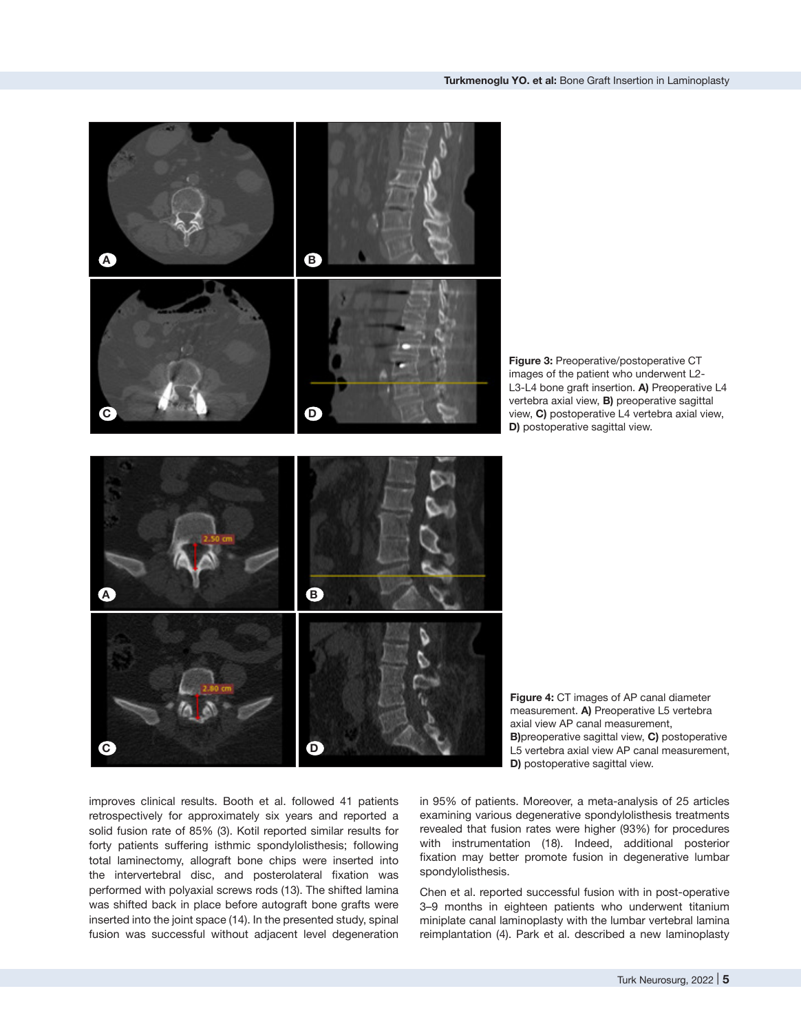

**Figure 4:** CT images of AP canal diameter measurement. **A)** Preoperative L5 vertebra axial view AP canal measurement, **B)**preoperative sagittal view, **C)** postoperative L5 vertebra axial view AP canal measurement, **D)** postoperative sagittal view.

improves clinical results. Booth et al. followed 41 patients retrospectively for approximately six years and reported a solid fusion rate of 85% (3). Kotil reported similar results for forty patients suffering isthmic spondylolisthesis; following total laminectomy, allograft bone chips were inserted into the intervertebral disc, and posterolateral fixation was performed with polyaxial screws rods (13). The shifted lamina was shifted back in place before autograft bone grafts were inserted into the joint space (14). In the presented study, spinal fusion was successful without adjacent level degeneration

**C D**

in 95% of patients. Moreover, a meta-analysis of 25 articles examining various degenerative spondylolisthesis treatments revealed that fusion rates were higher (93%) for procedures with instrumentation (18). Indeed, additional posterior fixation may better promote fusion in degenerative lumbar spondylolisthesis.

Chen et al. reported successful fusion with in post-operative 3–9 months in eighteen patients who underwent titanium miniplate canal laminoplasty with the lumbar vertebral lamina reimplantation (4). Park et al. described a new laminoplasty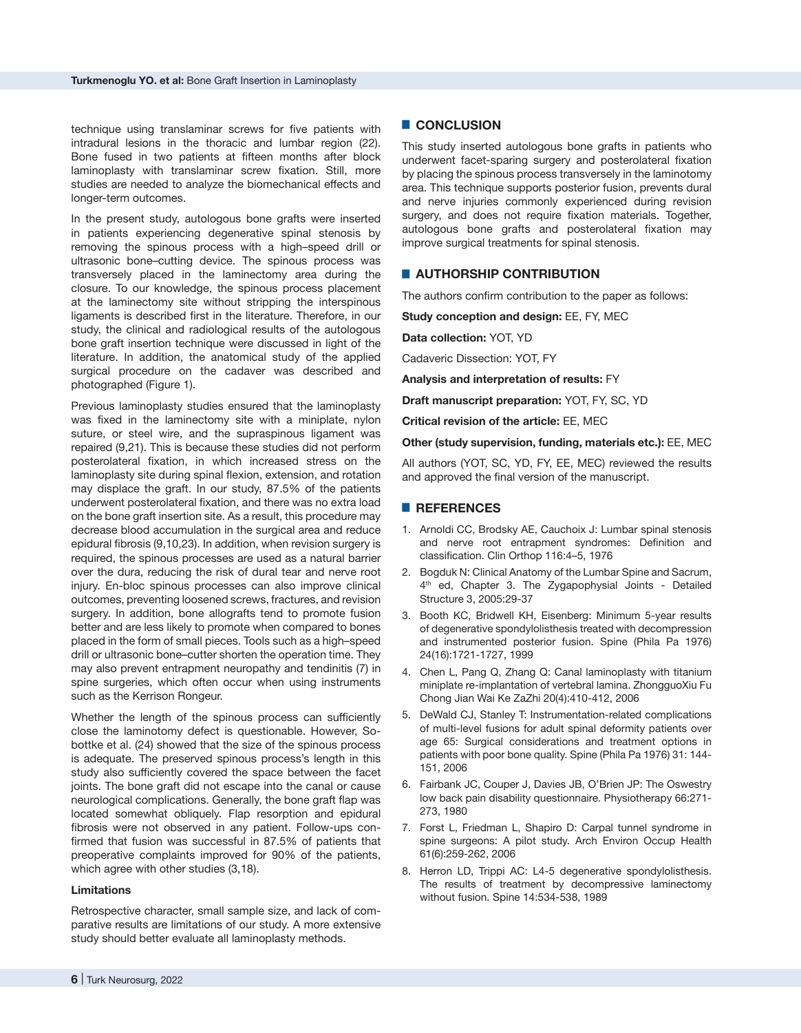technique using translaminar screws for five patients with intradural lesions in the thoracic and lumbar region (22). Bone fused in two patients at fifteen months after block laminoplasty with translaminar screw fixation. Still, more studies are needed to analyze the biomechanical effects and longer-term outcomes.

In the present study, autologous bone grafts were inserted in patients experiencing degenerative spinal stenosis by removing the spinous process with a high–speed drill or ultrasonic bone–cutting device. The spinous process was transversely placed in the laminectomy area during the closure. To our knowledge, the spinous process placement at the laminectomy site without stripping the interspinous ligaments is described first in the literature. Therefore, in our study, the clinical and radiological results of the autologous bone graft insertion technique were discussed in light of the literature. In addition, the anatomical study of the applied surgical procedure on the cadaver was described and photographed (Figure 1).

Previous laminoplasty studies ensured that the laminoplasty was fixed in the laminectomy site with a miniplate, nylon suture, or steel wire, and the supraspinous ligament was repaired (9,21). This is because these studies did not perform posterolateral fixation, in which increased stress on the laminoplasty site during spinal flexion, extension, and rotation may displace the graft. In our study, 87.5% of the patients underwent posterolateral fixation, and there was no extra load on the bone graft insertion site. As a result, this procedure may decrease blood accumulation in the surgical area and reduce epidural fibrosis (9,10,23). In addition, when revision surgery is required, the spinous processes are used as a natural barrier over the dura, reducing the risk of dural tear and nerve root injury. En-bloc spinous processes can also improve clinical outcomes, preventing loosened screws, fractures, and revision surgery. In addition, bone allografts tend to promote fusion better and are less likely to promote when compared to bones placed in the form of small pieces. Tools such as a high–speed drill or ultrasonic bone–cutter shorten the operation time. They may also prevent entrapment neuropathy and tendinitis (7) in spine surgeries, which often occur when using instruments such as the Kerrison Rongeur.

Whether the length of the spinous process can sufficiently close the laminotomy defect is questionable. However, Sobottke et al. (24) showed that the size of the spinous process is adequate. The preserved spinous process's length in this study also sufficiently covered the space between the facet joints. The bone graft did not escape into the canal or cause neurological complications. Generally, the bone graft flap was located somewhat obliquely. Flap resorption and epidural fibrosis were not observed in any patient. Follow-ups confirmed that fusion was successful in 87.5% of patients that preoperative complaints improved for 90% of the patients, which agree with other studies (3,18).

#### **Limitations**

Retrospective character, small sample size, and lack of comparative results are limitations of our study. A more extensive study should better evaluate all laminoplasty methods.

## █ **CONCLUSION**

This study inserted autologous bone grafts in patients who underwent facet-sparing surgery and posterolateral fixation by placing the spinous process transversely in the laminotomy area. This technique supports posterior fusion, prevents dural and nerve injuries commonly experienced during revision surgery, and does not require fixation materials. Together, autologous bone grafts and posterolateral fixation may improve surgical treatments for spinal stenosis.

# **E** AUTHORSHIP CONTRIBUTION

The authors confirm contribution to the paper as follows:

**Study conception and design:** EE, FY, MEC

**Data collection:** YOT, YD

Cadaveric Dissection: YOT, FY

**Analysis and interpretation of results:** FY

**Draft manuscript preparation:** YOT, FY, SC, YD

**Critical revision of the article:** EE, MEC

**Other (study supervision, funding, materials etc.):** EE, MEC

All authors (YOT, SC, YD, FY, EE, MEC) reviewed the results and approved the final version of the manuscript.

# █ **REFERENCES**

- 1. Arnoldi CC, Brodsky AE, Cauchoix J: Lumbar spinal stenosis and nerve root entrapment syndromes: Definition and classification. Clin Orthop 116:4–5, 1976
- 2. Bogduk N: Clinical Anatomy of the Lumbar Spine and Sacrum, 4<sup>th</sup> ed, Chapter 3. The Zygapophysial Joints - Detailed Structure 3, 2005:29-37
- 3. Booth KC, Bridwell KH, Eisenberg: Minimum 5-year results of degenerative spondylolisthesis treated with decompression and instrumented posterior fusion. Spine (Phila Pa 1976) 24(16):1721-1727, 1999
- 4. Chen L, Pang Q, Zhang Q: Canal laminoplasty with titanium miniplate re-implantation of vertebral lamina. ZhongguoXiu Fu Chong Jian Wai Ke ZaZhi 20(4):410-412, 2006
- 5. DeWald CJ, Stanley T: Instrumentation-related complications of multi-level fusions for adult spinal deformity patients over age 65: Surgical considerations and treatment options in patients with poor bone quality. Spine (Phila Pa 1976) 31: 144- 151, 2006
- 6. Fairbank JC, Couper J, Davies JB, O'Brien JP: The Oswestry low back pain disability questionnaire. Physiotherapy 66:271- 273, 1980
- 7. Forst L, Friedman L, Shapiro D: Carpal tunnel syndrome in spine surgeons: A pilot study. Arch Environ Occup Health 61(6):259-262, 2006
- 8. Herron LD, Trippi AC: L4-5 degenerative spondylolisthesis. The results of treatment by decompressive laminectomy without fusion. Spine 14:534-538, 1989